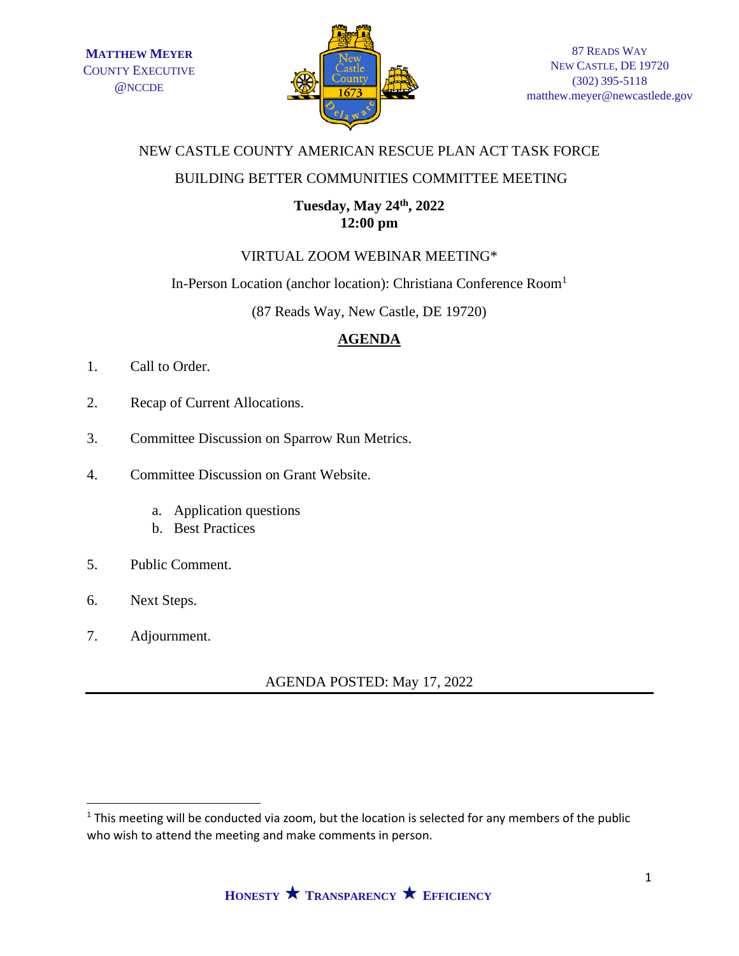

# NEW CASTLE COUNTY AMERICAN RESCUE PLAN ACT TASK FORCE

### BUILDING BETTER COMMUNITIES COMMITTEE MEETING

# **Tuesday, May 24th , 2022 12:00 pm**

# VIRTUAL ZOOM WEBINAR MEETING\*

#### In-Person Location (anchor location): Christiana Conference Room<sup>1</sup>

(87 Reads Way, New Castle, DE 19720)

# **AGENDA**

- 1. Call to Order.
- 2. Recap of Current Allocations.
- 3. Committee Discussion on Sparrow Run Metrics.
- 4. Committee Discussion on Grant Website.
	- a. Application questions
	- b. Best Practices
- 5. Public Comment.
- 6. Next Steps.
- 7. Adjournment.

AGENDA POSTED: May 17, 2022

 $1$  This meeting will be conducted via zoom, but the location is selected for any members of the public who wish to attend the meeting and make comments in person.